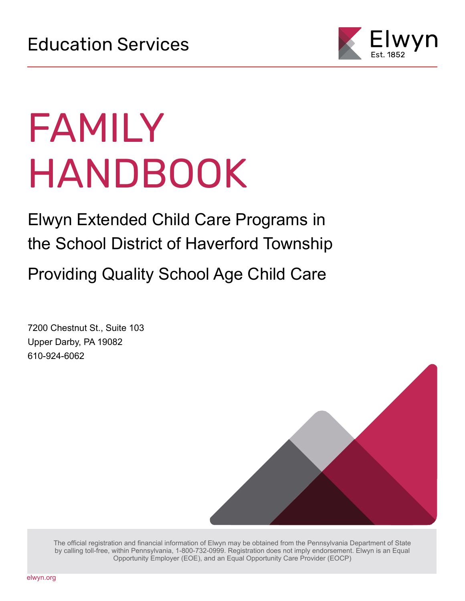

# FAMILY HANDBOOK

Elwyn Extended Child Care Programs in the School District of Haverford Township Providing Quality School Age Child Care

7200 Chestnut St., Suite 103 Upper Darby, PA 19082 610-924-6062



The official registration and financial information of Elwyn may be obtained from the Pennsylvania Department of State by calling toll-free, within Pennsylvania, 1-800-732-0999. Registration does not imply endorsement. Elwyn is an Equal Opportunity Employer (EOE), and an Equal Opportunity Care Provider (EOCP)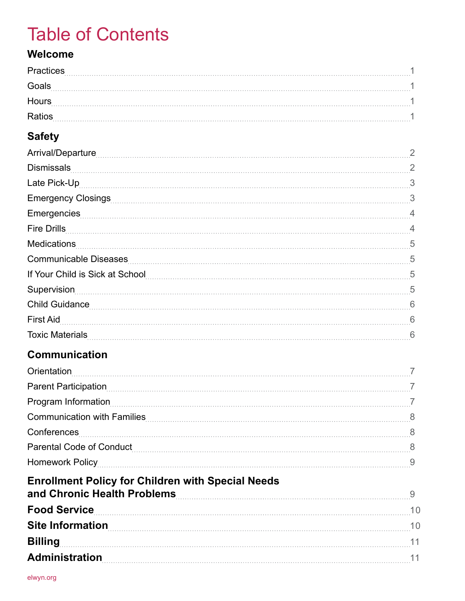## Table of Contents

### **Welcome**

| <b>Practices</b><br>. |  |
|-----------------------|--|
| Goals<br>$- - - - -$  |  |
| <b>Hours</b><br>.     |  |
| Ratios<br>.           |  |

### **Safety**

| 2              |
|----------------|
| 2              |
|                |
| 3              |
| Emergencies 4  |
| $\overline{4}$ |
| 5              |
| 5              |
| 5              |
| 5              |
| 6              |
| 6              |
|                |
|                |

### **Communication**

| Orientation                                                                                                                                                                                                                               |    |
|-------------------------------------------------------------------------------------------------------------------------------------------------------------------------------------------------------------------------------------------|----|
|                                                                                                                                                                                                                                           |    |
|                                                                                                                                                                                                                                           |    |
| Communication with Families                                                                                                                                                                                                               | 8  |
| Conferences                                                                                                                                                                                                                               | -8 |
|                                                                                                                                                                                                                                           |    |
|                                                                                                                                                                                                                                           | 9  |
| <b>Enrollment Policy for Children with Special Needs</b>                                                                                                                                                                                  |    |
| and Chronic Health Problems                                                                                                                                                                                                               | 9  |
| Food Service <b>Executive Service</b> and Service <b>Contract Contract Contract Contract Contract Contract Contract Contract Contract Contract Contract Contract Contract Contract Contract Contract Contract Contract Contract Contr</b> | 10 |
| <b>Site Information</b>                                                                                                                                                                                                                   | 10 |
| <b>Billing</b>                                                                                                                                                                                                                            | 11 |
| <b>Administration</b>                                                                                                                                                                                                                     | 11 |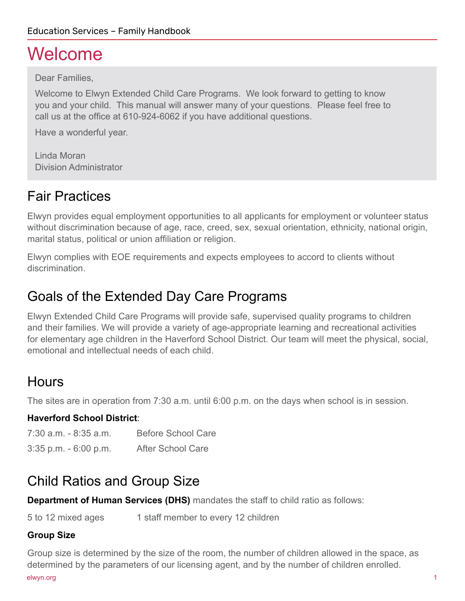## Welcome

Dear Families,

Welcome to Elwyn Extended Child Care Programs. We look forward to getting to know you and your child. This manual will answer many of your questions. Please feel free to call us at the office at 610-924-6062 if you have additional questions.

Have a wonderful year.

Linda Moran Division Administrator

## Fair Practices

Elwyn provides equal employment opportunities to all applicants for employment or volunteer status without discrimination because of age, race, creed, sex, sexual orientation, ethnicity, national origin, marital status, political or union affiliation or religion.

Elwyn complies with EOE requirements and expects employees to accord to clients without discrimination.

### Goals of the Extended Day Care Programs

Elwyn Extended Child Care Programs will provide safe, supervised quality programs to children and their families. We will provide a variety of age-appropriate learning and recreational activities for elementary age children in the Haverford School District. Our team will meet the physical, social, emotional and intellectual needs of each child.

## **Hours**

The sites are in operation from 7:30 a.m. until 6:00 p.m. on the days when school is in session.

### **Haverford School District**:

| 7:30 a.m. - 8:35 a.m.    | <b>Before School Care</b> |
|--------------------------|---------------------------|
| $3:35$ p.m. $-6:00$ p.m. | <b>After School Care</b>  |

### Child Ratios and Group Size

**Department of Human Services (DHS)** mandates the staff to child ratio as follows:

5 to 12 mixed ages 1 staff member to every 12 children

### **Group Size**

Group size is determined by the size of the room, the number of children allowed in the space, as determined by the parameters of our licensing agent, and by the number of children enrolled. elwyn.org i bodyn y ddiwynthau yn y ddiwynthau yn y ddiwynthau yn y ddiwynthau yn y ddiwynthau yn y ddiwynthau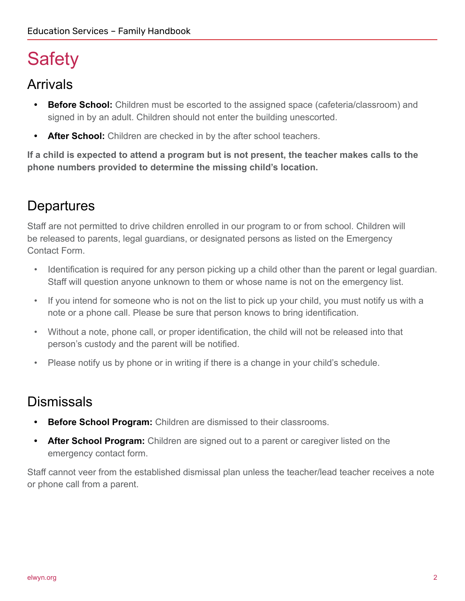## **Safety**

### Arrivals

- **Before School:** Children must be escorted to the assigned space (cafeteria/classroom) and signed in by an adult. Children should not enter the building unescorted.
- **• After School:** Children are checked in by the after school teachers.

**If a child is expected to attend a program but is not present, the teacher makes calls to the phone numbers provided to determine the missing child's location.**

## **Departures**

Staff are not permitted to drive children enrolled in our program to or from school. Children will be released to parents, legal guardians, or designated persons as listed on the Emergency Contact Form.

- Identification is required for any person picking up a child other than the parent or legal guardian. Staff will question anyone unknown to them or whose name is not on the emergency list.
- If you intend for someone who is not on the list to pick up your child, you must notify us with a note or a phone call. Please be sure that person knows to bring identification.
- Without a note, phone call, or proper identification, the child will not be released into that person's custody and the parent will be notified.
- Please notify us by phone or in writing if there is a change in your child's schedule.

### **Dismissals**

- **• Before School Program:** Children are dismissed to their classrooms.
- **• After School Program:** Children are signed out to a parent or caregiver listed on the emergency contact form.

Staff cannot veer from the established dismissal plan unless the teacher/lead teacher receives a note or phone call from a parent.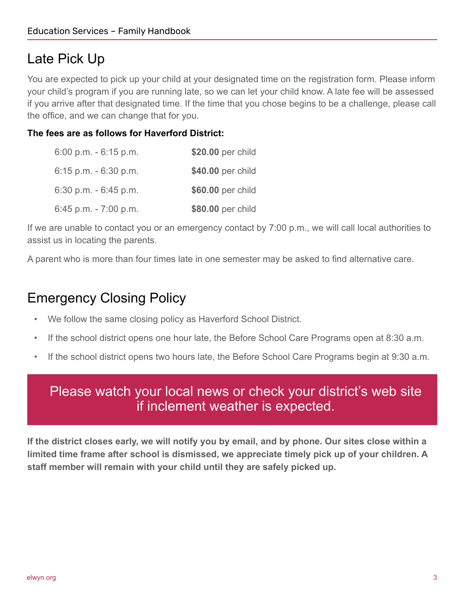### Late Pick Up

You are expected to pick up your child at your designated time on the registration form. Please inform your child's program if you are running late, so we can let your child know. A late fee will be assessed if you arrive after that designated time. If the time that you chose begins to be a challenge, please call the office, and we can change that for you.

### **The fees are as follows for Haverford District:**

| $6:00$ p.m. $-6:15$ p.m. | \$20.00 per child |
|--------------------------|-------------------|
| $6:15$ p.m. $-6:30$ p.m. | \$40.00 per child |
| $6:30$ p.m. $-6:45$ p.m. | \$60.00 per child |
| 6:45 p.m. $-7:00$ p.m.   | \$80.00 per child |

If we are unable to contact you or an emergency contact by 7:00 p.m., we will call local authorities to assist us in locating the parents.

A parent who is more than four times late in one semester may be asked to find alternative care.

### Emergency Closing Policy

- We follow the same closing policy as Haverford School District.
- If the school district opens one hour late, the Before School Care Programs open at 8:30 a.m.
- If the school district opens two hours late, the Before School Care Programs begin at 9:30 a.m.

### Please watch your local news or check your district's web site if inclement weather is expected.

**If the district closes early, we will notify you by email, and by phone. Our sites close within a limited time frame after school is dismissed, we appreciate timely pick up of your children. A staff member will remain with your child until they are safely picked up.**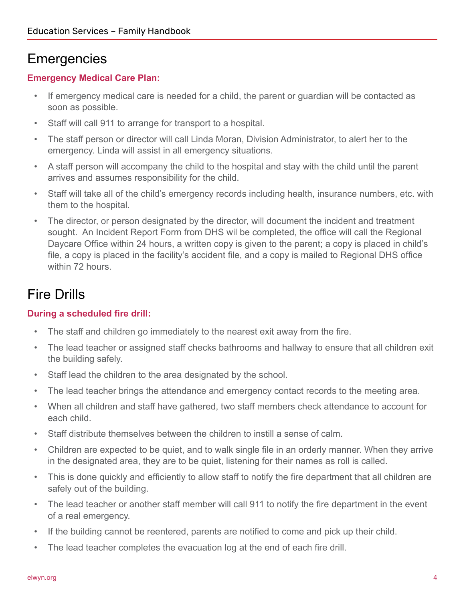### **Emergencies**

### **Emergency Medical Care Plan:**

- If emergency medical care is needed for a child, the parent or guardian will be contacted as soon as possible.
- Staff will call 911 to arrange for transport to a hospital.
- The staff person or director will call Linda Moran, Division Administrator, to alert her to the emergency. Linda will assist in all emergency situations.
- A staff person will accompany the child to the hospital and stay with the child until the parent arrives and assumes responsibility for the child.
- Staff will take all of the child's emergency records including health, insurance numbers, etc. with them to the hospital.
- The director, or person designated by the director, will document the incident and treatment sought. An Incident Report Form from DHS wil be completed, the office will call the Regional Daycare Office within 24 hours, a written copy is given to the parent; a copy is placed in child's file, a copy is placed in the facility's accident file, and a copy is mailed to Regional DHS office within 72 hours.

### Fire Drills

### **During a scheduled fire drill:**

- The staff and children go immediately to the nearest exit away from the fire.
- The lead teacher or assigned staff checks bathrooms and hallway to ensure that all children exit the building safely.
- Staff lead the children to the area designated by the school.
- The lead teacher brings the attendance and emergency contact records to the meeting area.
- When all children and staff have gathered, two staff members check attendance to account for each child.
- Staff distribute themselves between the children to instill a sense of calm.
- Children are expected to be quiet, and to walk single file in an orderly manner. When they arrive in the designated area, they are to be quiet, listening for their names as roll is called.
- This is done quickly and efficiently to allow staff to notify the fire department that all children are safely out of the building.
- The lead teacher or another staff member will call 911 to notify the fire department in the event of a real emergency.
- If the building cannot be reentered, parents are notified to come and pick up their child.
- The lead teacher completes the evacuation log at the end of each fire drill.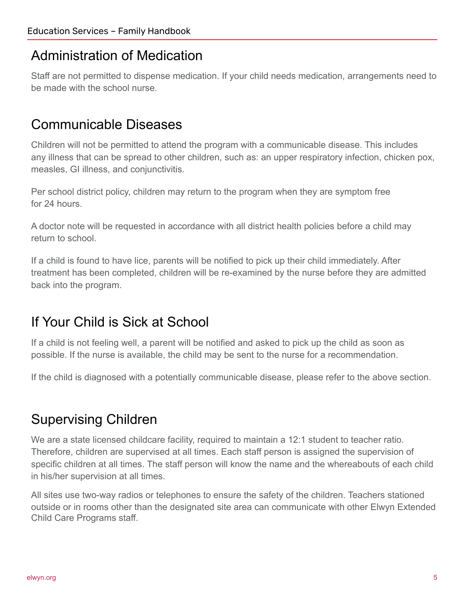### Administration of Medication

Staff are not permitted to dispense medication. If your child needs medication, arrangements need to be made with the school nurse.

### Communicable Diseases

Children will not be permitted to attend the program with a communicable disease. This includes any illness that can be spread to other children, such as: an upper respiratory infection, chicken pox, measles, GI illness, and conjunctivitis.

Per school district policy, children may return to the program when they are symptom free for 24 hours.

A doctor note will be requested in accordance with all district health policies before a child may return to school.

If a child is found to have lice, parents will be notified to pick up their child immediately. After treatment has been completed, children will be re-examined by the nurse before they are admitted back into the program.

## If Your Child is Sick at School

If a child is not feeling well, a parent will be notified and asked to pick up the child as soon as possible. If the nurse is available, the child may be sent to the nurse for a recommendation.

If the child is diagnosed with a potentially communicable disease, please refer to the above section.

## Supervising Children

We are a state licensed childcare facility, required to maintain a 12:1 student to teacher ratio. Therefore, children are supervised at all times. Each staff person is assigned the supervision of specific children at all times. The staff person will know the name and the whereabouts of each child in his/her supervision at all times.

All sites use two-way radios or telephones to ensure the safety of the children. Teachers stationed outside or in rooms other than the designated site area can communicate with other Elwyn Extended Child Care Programs staff.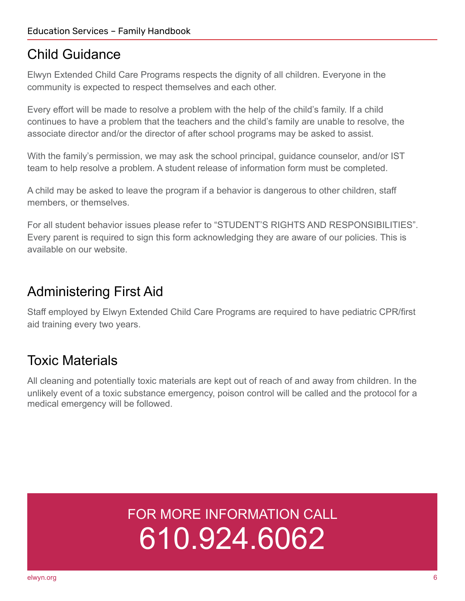### Child Guidance

Elwyn Extended Child Care Programs respects the dignity of all children. Everyone in the community is expected to respect themselves and each other.

Every effort will be made to resolve a problem with the help of the child's family. If a child continues to have a problem that the teachers and the child's family are unable to resolve, the associate director and/or the director of after school programs may be asked to assist.

With the family's permission, we may ask the school principal, guidance counselor, and/or IST team to help resolve a problem. A student release of information form must be completed.

A child may be asked to leave the program if a behavior is dangerous to other children, staff members, or themselves.

For all student behavior issues please refer to "STUDENT'S RIGHTS AND RESPONSIBILITIES". Every parent is required to sign this form acknowledging they are aware of our policies. This is available on our website.

### Administering First Aid

Staff employed by Elwyn Extended Child Care Programs are required to have pediatric CPR/first aid training every two years.

## Toxic Materials

All cleaning and potentially toxic materials are kept out of reach of and away from children. In the unlikely event of a toxic substance emergency, poison control will be called and the protocol for a medical emergency will be followed.

## FOR MORE INFORMATION CALL 610.924.6062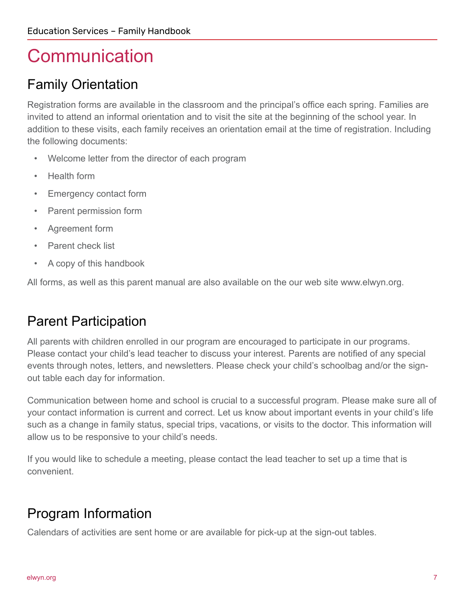## **Communication**

## Family Orientation

Registration forms are available in the classroom and the principal's office each spring. Families are invited to attend an informal orientation and to visit the site at the beginning of the school year. In addition to these visits, each family receives an orientation email at the time of registration. Including the following documents:

- Welcome letter from the director of each program
- Health form
- Emergency contact form
- Parent permission form
- Agreement form
- Parent check list
- A copy of this handbook

All forms, as well as this parent manual are also available on the our web site www.elwyn.org.

### Parent Participation

All parents with children enrolled in our program are encouraged to participate in our programs. Please contact your child's lead teacher to discuss your interest. Parents are notified of any special events through notes, letters, and newsletters. Please check your child's schoolbag and/or the signout table each day for information.

Communication between home and school is crucial to a successful program. Please make sure all of your contact information is current and correct. Let us know about important events in your child's life such as a change in family status, special trips, vacations, or visits to the doctor. This information will allow us to be responsive to your child's needs.

If you would like to schedule a meeting, please contact the lead teacher to set up a time that is convenient.

## Program Information

Calendars of activities are sent home or are available for pick-up at the sign-out tables.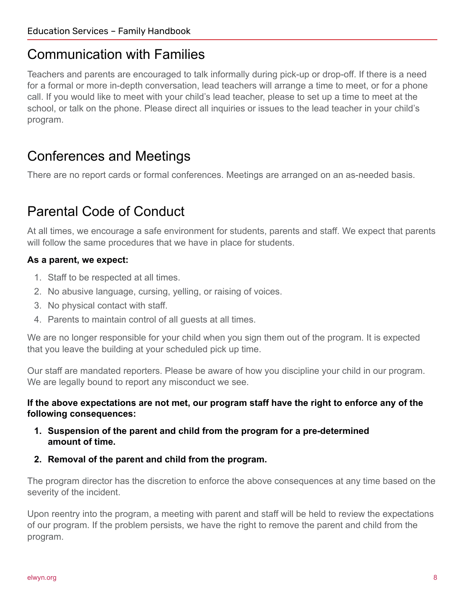### Communication with Families

Teachers and parents are encouraged to talk informally during pick-up or drop-off. If there is a need for a formal or more in-depth conversation, lead teachers will arrange a time to meet, or for a phone call. If you would like to meet with your child's lead teacher, please to set up a time to meet at the school, or talk on the phone. Please direct all inquiries or issues to the lead teacher in your child's program.

### Conferences and Meetings

There are no report cards or formal conferences. Meetings are arranged on an as-needed basis.

## Parental Code of Conduct

At all times, we encourage a safe environment for students, parents and staff. We expect that parents will follow the same procedures that we have in place for students.

### **As a parent, we expect:**

- 1. Staff to be respected at all times.
- 2. No abusive language, cursing, yelling, or raising of voices.
- 3. No physical contact with staff.
- 4. Parents to maintain control of all guests at all times.

We are no longer responsible for your child when you sign them out of the program. It is expected that you leave the building at your scheduled pick up time.

Our staff are mandated reporters. Please be aware of how you discipline your child in our program. We are legally bound to report any misconduct we see.

#### **If the above expectations are not met, our program staff have the right to enforce any of the following consequences:**

- **1. Suspension of the parent and child from the program for a pre-determined amount of time.**
- **2. Removal of the parent and child from the program.**

The program director has the discretion to enforce the above consequences at any time based on the severity of the incident.

Upon reentry into the program, a meeting with parent and staff will be held to review the expectations of our program. If the problem persists, we have the right to remove the parent and child from the program.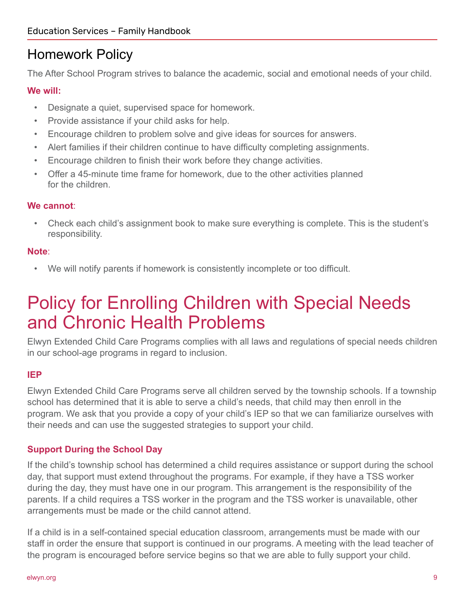### Homework Policy

The After School Program strives to balance the academic, social and emotional needs of your child.

### **We will:**

- Designate a quiet, supervised space for homework.
- Provide assistance if your child asks for help.
- Encourage children to problem solve and give ideas for sources for answers.
- Alert families if their children continue to have difficulty completing assignments.
- Encourage children to finish their work before they change activities.
- Offer a 45-minute time frame for homework, due to the other activities planned for the children.

### **We cannot**:

• Check each child's assignment book to make sure everything is complete. This is the student's responsibility.

### **Note**:

• We will notify parents if homework is consistently incomplete or too difficult.

## Policy for Enrolling Children with Special Needs and Chronic Health Problems

Elwyn Extended Child Care Programs complies with all laws and regulations of special needs children in our school-age programs in regard to inclusion.

#### **IEP**

Elwyn Extended Child Care Programs serve all children served by the township schools. If a township school has determined that it is able to serve a child's needs, that child may then enroll in the program. We ask that you provide a copy of your child's IEP so that we can familiarize ourselves with their needs and can use the suggested strategies to support your child.

### **Support During the School Day**

If the child's township school has determined a child requires assistance or support during the school day, that support must extend throughout the programs. For example, if they have a TSS worker during the day, they must have one in our program. This arrangement is the responsibility of the parents. If a child requires a TSS worker in the program and the TSS worker is unavailable, other arrangements must be made or the child cannot attend.

If a child is in a self-contained special education classroom, arrangements must be made with our staff in order the ensure that support is continued in our programs. A meeting with the lead teacher of the program is encouraged before service begins so that we are able to fully support your child.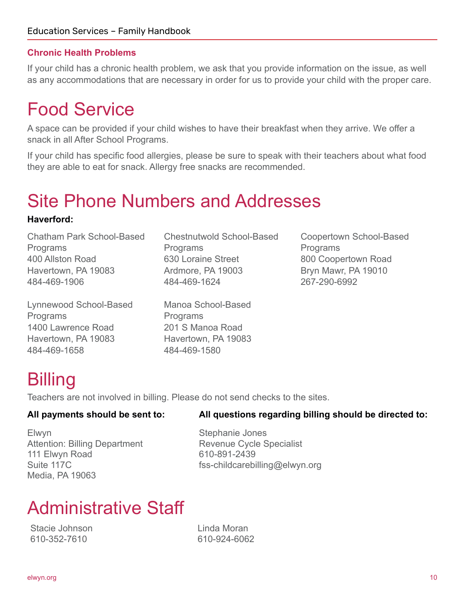### **Chronic Health Problems**

If your child has a chronic health problem, we ask that you provide information on the issue, as well as any accommodations that are necessary in order for us to provide your child with the proper care.

## Food Service

A space can be provided if your child wishes to have their breakfast when they arrive. We offer a snack in all After School Programs.

If your child has specific food allergies, please be sure to speak with their teachers about what food they are able to eat for snack. Allergy free snacks are recommended.

## Site Phone Numbers and Addresses

#### **Haverford:**

Chatham Park School-Based **Programs** 400 Allston Road Havertown, PA 19083 484-469-1906

Lynnewood School-Based Programs 1400 Lawrence Road Havertown, PA 19083 484-469-1658

Chestnutwold School-Based **Programs** 630 Loraine Street Ardmore, PA 19003 484-469-1624

Manoa School-Based Programs 201 S Manoa Road Havertown, PA 19083 484-469-1580

Coopertown School-Based Programs 800 Coopertown Road Bryn Mawr, PA 19010 267-290-6992

## **Billing**

Teachers are not involved in billing. Please do not send checks to the sites.

Elwyn Attention: Billing Department 111 Elwyn Road Suite 117C Media, PA 19063

#### **All payments should be sent to: All questions regarding billing should be directed to:**

Stephanie Jones Revenue Cycle Specialist 610-891-2439 fss-childcarebilling@elwyn.org

## Administrative Staff

Stacie Johnson 610-352-7610

Linda Moran 610-924-6062